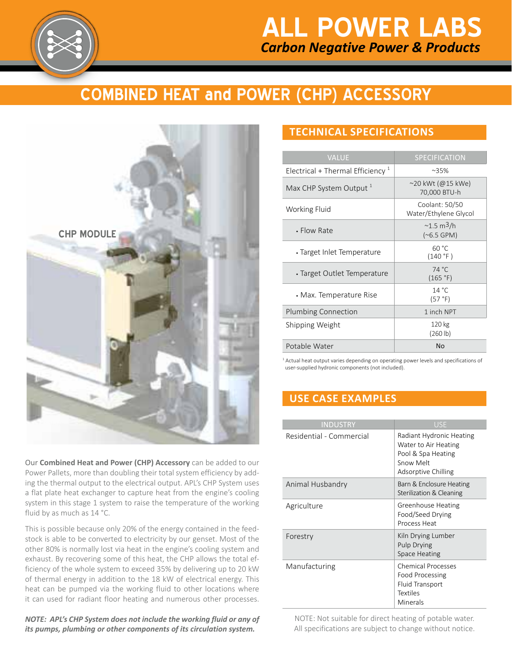

# *Carbon Negative Power & Products* **ALL POWER LABS**

# **COMBINED HEAT and POWER (CHP) Accessory**



Our **Combined Heat and Power (CHP) Accessory** can be added to our Power Pallets, more than doubling their total system efficiency by adding the thermal output to the electrical output. APL's CHP System uses a flat plate heat exchanger to capture heat from the engine's cooling system in this stage 1 system to raise the temperature of the working fluid by as much as 14 °C.

This is possible because only 20% of the energy contained in the feedstock is able to be converted to electricity by our genset. Most of the other 80% is normally lost via heat in the engine's cooling system and exhaust. By recovering some of this heat, the CHP allows the total efficiency of the whole system to exceed 35% by delivering up to 20 kW of thermal energy in addition to the 18 kW of electrical energy. This heat can be pumped via the working fluid to other locations where it can used for radiant floor heating and numerous other processes.

*NOTE: APL's CHP System does not include the working fluid or any of its pumps, plumbing or other components of its circulation system.*

## **TECHNICAL SPECIFICATIONS**

| <b>VALUE</b>                                 | <b>SPECIFICATION</b>                         |
|----------------------------------------------|----------------------------------------------|
| Electrical + Thermal Efficiency <sup>1</sup> | $~35\%$                                      |
| Max CHP System Output 1                      | ~20 kWt (@15 kWe)<br>70,000 BTU-h            |
| Working Fluid                                | Coolant: 50/50<br>Water/Ethylene Glycol      |
| • Flow Rate                                  | $\sim$ 1.5 m <sup>3</sup> /h<br>$(*6.5 GPM)$ |
| • Target Inlet Temperature                   | 60 °C<br>(140 °F)                            |
| • Target Outlet Temperature                  | 74 °C<br>(165 °F)                            |
| • Max. Temperature Rise                      | 14 °C<br>(57 °F)                             |
| Plumbing Connection                          | 1 inch NPT                                   |
| Shipping Weight                              | 120 kg<br>(260 lb)                           |
| Potable Water                                | No                                           |

<sup>1</sup> Actual heat output varies depending on operating power levels and specifications of user-supplied hydronic components (not included).

# **USE CASE EXAMPLES**

| <b>INDUSTRY</b>          | <b>USE</b>                                                                                                 |
|--------------------------|------------------------------------------------------------------------------------------------------------|
| Residential - Commercial | Radiant Hydronic Heating<br>Water to Air Heating<br>Pool & Spa Heating<br>Snow Melt<br>Adsorptive Chilling |
| Animal Husbandry         | Barn & Enclosure Heating<br>Sterilization & Cleaning                                                       |
| Agriculture              | <b>Greenhouse Heating</b><br>Food/Seed Drying<br>Process Heat                                              |
| Forestry                 | Kiln Drying Lumber<br>Pulp Drying<br><b>Space Heating</b>                                                  |
| Manufacturing            | <b>Chemical Processes</b><br>Food Processing<br>Fluid Transport<br><b>Textiles</b><br>Minerals             |

NOTE: Not suitable for direct heating of potable water. All specifications are subject to change without notice.